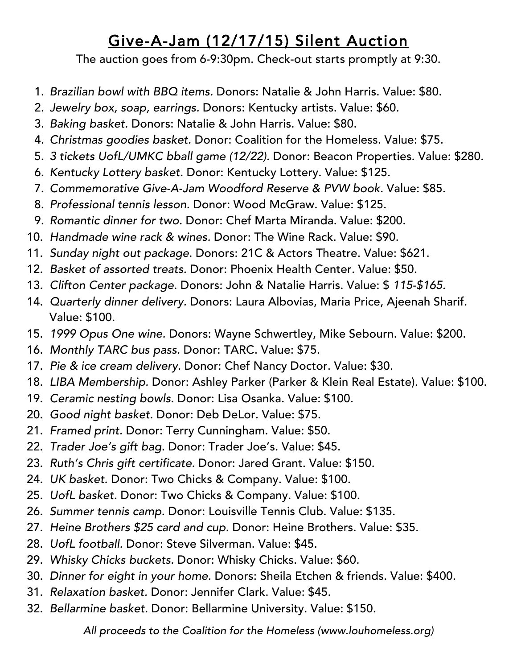## Give-A-Jam (12/17/15) Silent Auction

The auction goes from 6-9:30pm. Check-out starts promptly at 9:30.

- 1. *Brazilian bowl with BBQ items.* Donors: Natalie & John Harris. Value: \$80.
- 2. *Jewelry box, soap, earrings.* Donors: Kentucky artists. Value: \$60.
- 3. *Baking basket.* Donors: Natalie & John Harris. Value: \$80.
- 4. *Christmas goodies basket.* Donor: Coalition for the Homeless. Value: \$75.
- 5. *3 tickets UofL/UMKC bball game (12/22).* Donor: Beacon Properties. Value: \$280.
- 6. *Kentucky Lottery basket.* Donor: Kentucky Lottery. Value: \$125.
- 7. *Commemorative Give-A-Jam Woodford Reserve & PVW book.* Value: \$85.
- 8. *Professional tennis lesson.* Donor: Wood McGraw. Value: \$125.
- 9. *Romantic dinner for two.* Donor: Chef Marta Miranda. Value: \$200.
- 10. *Handmade wine rack & wines.* Donor: The Wine Rack. Value: \$90.
- 11. *Sunday night out package.* Donors: 21C & Actors Theatre. Value: \$621.
- 12. *Basket of assorted treats.* Donor: Phoenix Health Center. Value: \$50.
- 13. *Clifton Center package.* Donors: John & Natalie Harris. Value: \$ *115-\$165.*
- 14. *Quarterly dinner delivery.* Donors: Laura Albovias, Maria Price, Ajeenah Sharif. Value: \$100.
- 15. *1999 Opus One wine.* Donors: Wayne Schwertley, Mike Sebourn. Value: \$200.
- 16. *Monthly TARC bus pass.* Donor: TARC. Value: \$75.
- 17. *Pie & ice cream delivery.* Donor: Chef Nancy Doctor. Value: \$30.
- 18. *LIBA Membership.* Donor: Ashley Parker (Parker & Klein Real Estate). Value: \$100.
- 19. *Ceramic nesting bowls.* Donor: Lisa Osanka. Value: \$100.
- 20. *Good night basket.* Donor: Deb DeLor. Value: \$75.
- 21. *Framed print.* Donor: Terry Cunningham. Value: \$50.
- 22. *Trader Joe's gift bag.* Donor: Trader Joe's. Value: \$45.
- 23. *Ruth's Chris gift certificate.* Donor: Jared Grant. Value: \$150.
- 24. *UK basket.* Donor: Two Chicks & Company. Value: \$100.
- 25. *UofL basket.* Donor: Two Chicks & Company. Value: \$100.
- 26. *Summer tennis camp.* Donor: Louisville Tennis Club. Value: \$135.
- 27. *Heine Brothers \$25 card and cup.* Donor: Heine Brothers. Value: \$35.
- 28. *UofL football.* Donor: Steve Silverman. Value: \$45.
- 29. *Whisky Chicks buckets.* Donor: Whisky Chicks. Value: \$60.
- 30. *Dinner for eight in your home.* Donors: Sheila Etchen & friends. Value: \$400.
- 31. *Relaxation basket.* Donor: Jennifer Clark. Value: \$45.
- 32. *Bellarmine basket.* Donor: Bellarmine University. Value: \$150.

*All proceeds to the Coalition for the Homeless (www.louhomeless.org)*